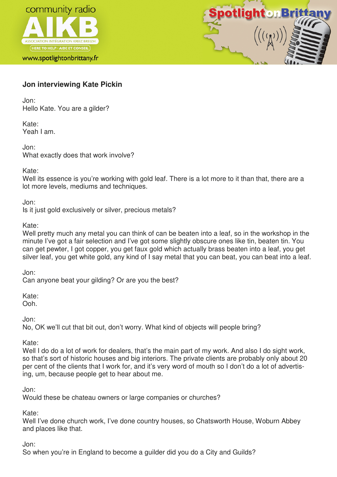

www.spotlightonbrittany.fr



# **Jon interviewing Kate Pickin**

Jon: Hello Kate. You are a gilder?

Kate: Yeah I am.

Jon: What exactly does that work involve?

Kate:

Well its essence is you're working with gold leaf. There is a lot more to it than that, there are a lot more levels, mediums and techniques.

Jon:

Is it just gold exclusively or silver, precious metals?

Kate:

Well pretty much any metal you can think of can be beaten into a leaf, so in the workshop in the minute I've got a fair selection and I've got some slightly obscure ones like tin, beaten tin. You can get pewter, I got copper, you get faux gold which actually brass beaten into a leaf, you get silver leaf, you get white gold, any kind of I say metal that you can beat, you can beat into a leaf.

Jon:

Can anyone beat your gilding? Or are you the best?

Kate:

Ooh.

Jon:

No, OK we'll cut that bit out, don't worry. What kind of objects will people bring?

Kate:

Well I do do a lot of work for dealers, that's the main part of my work. And also I do sight work, so that's sort of historic houses and big interiors. The private clients are probably only about 20 per cent of the clients that I work for, and it's very word of mouth so I don't do a lot of advertising, um, because people get to hear about me.

Jon:

Would these be chateau owners or large companies or churches?

Kate:

Well I've done church work, I've done country houses, so Chatsworth House, Woburn Abbey and places like that.

Jon:

So when you're in England to become a guilder did you do a City and Guilds?